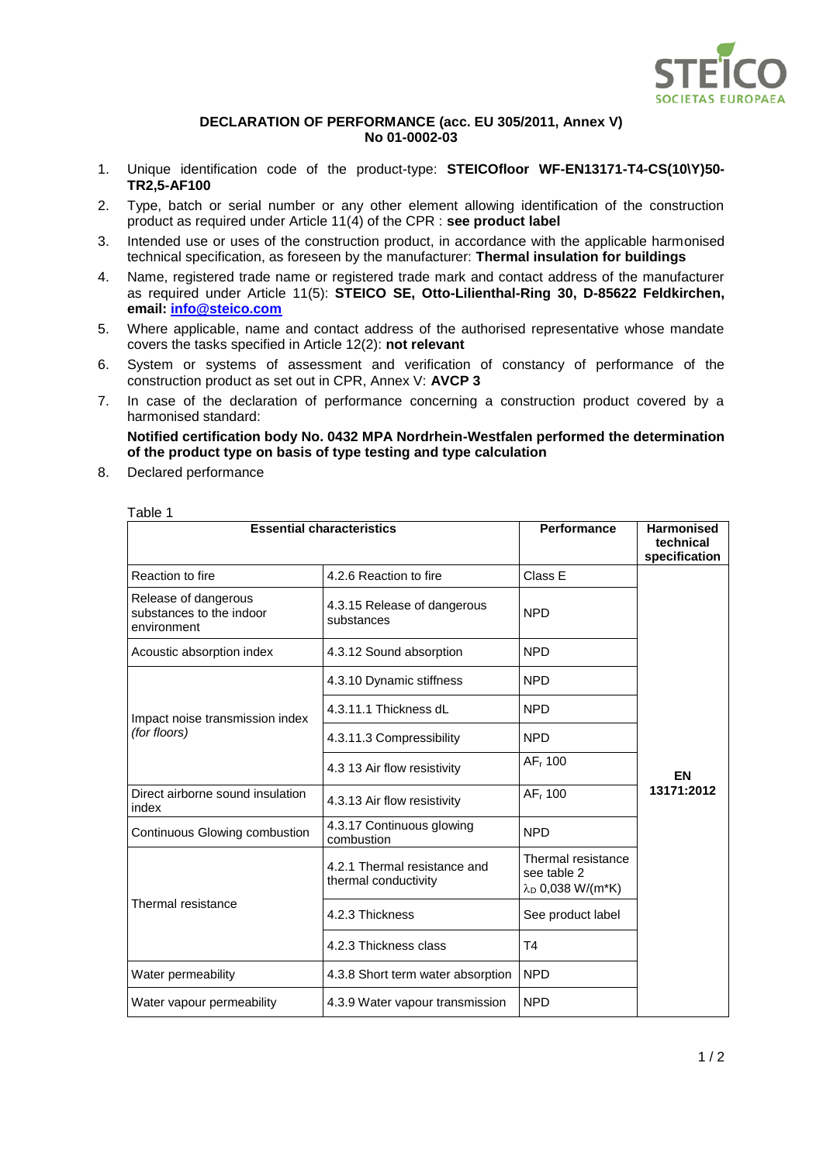

## **DECLARATION OF PERFORMANCE (acc. EU 305/2011, Annex V) No 01-0002-03**

- 1. Unique identification code of the product-type: **STEICOfloor WF-EN13171-T4-CS(10\Y)50- TR2,5-AF100**
- 2. Type, batch or serial number or any other element allowing identification of the construction product as required under Article 11(4) of the CPR : **see product label**
- 3. Intended use or uses of the construction product, in accordance with the applicable harmonised technical specification, as foreseen by the manufacturer: **Thermal insulation for buildings**
- 4. Name, registered trade name or registered trade mark and contact address of the manufacturer as required under Article 11(5): **STEICO SE, Otto-Lilienthal-Ring 30, D-85622 Feldkirchen, email: [info@steico.com](mailto:info@steico.com)**
- 5. Where applicable, name and contact address of the authorised representative whose mandate covers the tasks specified in Article 12(2): **not relevant**
- 6. System or systems of assessment and verification of constancy of performance of the construction product as set out in CPR, Annex V: **AVCP 3**
- 7. In case of the declaration of performance concerning a construction product covered by a harmonised standard:

**Notified certification body No. 0432 MPA Nordrhein-Westfalen performed the determination of the product type on basis of type testing and type calculation**

8. Declared performance

Table 1

|                                                                 | <b>Essential characteristics</b>                     | <b>Performance</b>                                                | <b>Harmonised</b><br>technical<br>specification |
|-----------------------------------------------------------------|------------------------------------------------------|-------------------------------------------------------------------|-------------------------------------------------|
| Reaction to fire                                                | 4.2.6 Reaction to fire                               | Class E                                                           |                                                 |
| Release of dangerous<br>substances to the indoor<br>environment | 4.3.15 Release of dangerous<br>substances            | <b>NPD</b>                                                        |                                                 |
| Acoustic absorption index                                       | 4.3.12 Sound absorption                              | <b>NPD</b>                                                        |                                                 |
| Impact noise transmission index<br>(for floors)                 | 4.3.10 Dynamic stiffness                             | <b>NPD</b>                                                        |                                                 |
|                                                                 | 4.3.11.1 Thickness dL                                | <b>NPD</b>                                                        |                                                 |
|                                                                 | 4.3.11.3 Compressibility                             | <b>NPD</b>                                                        |                                                 |
|                                                                 | 4.3 13 Air flow resistivity                          | AF <sub>r</sub> 100                                               | EN                                              |
| Direct airborne sound insulation<br>index                       | 4.3.13 Air flow resistivity                          | AF <sub>r</sub> 100                                               | 13171:2012                                      |
| Continuous Glowing combustion                                   | 4.3.17 Continuous glowing<br>combustion              | <b>NPD</b>                                                        |                                                 |
| Thermal resistance                                              | 4.2.1 Thermal resistance and<br>thermal conductivity | Thermal resistance<br>see table 2<br>λ <sub>D</sub> 0,038 W/(m*K) |                                                 |
|                                                                 | 4.2.3 Thickness                                      | See product label                                                 |                                                 |
|                                                                 | 4.2.3 Thickness class                                | T4                                                                |                                                 |
| Water permeability                                              | 4.3.8 Short term water absorption                    | <b>NPD</b>                                                        |                                                 |
| Water vapour permeability                                       | 4.3.9 Water vapour transmission                      | <b>NPD</b>                                                        |                                                 |